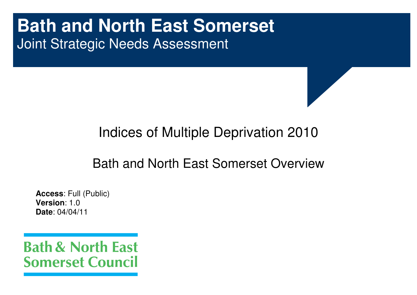# **Bath and North East Somerset** Joint Strategic Needs Assessment

## Indices of Multiple Deprivation 2010

## Bath and North East Somerset Overview

**Access**: Full (Public) **Version**: 1.0 **Date**: 04/04/11

**Bath & North East Somerset Council**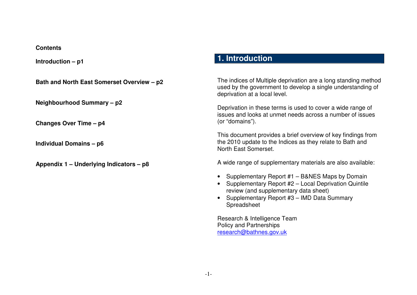## **Contents**

**Introduction – p1** 

| Bath and North East Somerset Overview - p2           | The indices of Multiple deprivation are a long standing method<br>used by the government to develop a single understanding of<br>deprivation at a local level.                                               |  |  |  |
|------------------------------------------------------|--------------------------------------------------------------------------------------------------------------------------------------------------------------------------------------------------------------|--|--|--|
| Neighbourhood Summary - p2<br>Changes Over Time - p4 | Deprivation in these terms is used to cover a wide range of<br>issues and looks at unmet needs across a number of issues<br>(or "domains").                                                                  |  |  |  |
| <b>Individual Domains - p6</b>                       | This document provides a brief overview of key findings from<br>the 2010 update to the Indices as they relate to Bath and<br>North East Somerset.                                                            |  |  |  |
| Appendix 1 – Underlying Indicators – p8              | A wide range of supplementary materials are also available:                                                                                                                                                  |  |  |  |
|                                                      | Supplementary Report #1 - B&NES Maps by Domain<br>Supplementary Report #2 - Local Deprivation Quintile<br>review (and supplementary data sheet)<br>Supplementary Report #3 - IMD Data Summary<br>Spreadsheet |  |  |  |
|                                                      | Research & Intelligence Team<br><b>Policy and Partnerships</b><br>research@bathnes.gov.uk                                                                                                                    |  |  |  |

**1. Introduction**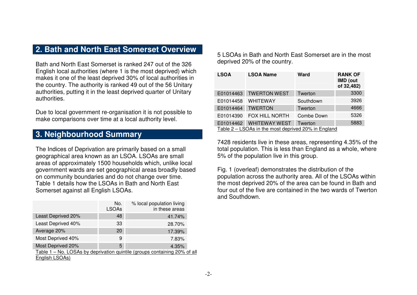## **2. Bath and North East Somerset Overview**

Bath and North East Somerset is ranked 247 out of the 326 English local authorities (where 1 is the most deprived) which makes it one of the least deprived 30% of local authorities in the country. The authority is ranked 49 out of the 56 Unitary authorities, putting it in the least deprived quarter of Unitary authorities.

Due to local government re-organisation it is not possible to make comparisons over time at a local authority level.

## **3. Neighbourhood Summary**

The Indices of Deprivation are primarily based on a small geographical area known as an LSOA. LSOAs are small areas of approximately 1500 households which, unlike local government wards are set geographical areas broadly based on community boundaries and do not change over time. Table 1 details how the LSOAs in Bath and North East Somerset against all English LSOAs.

|                                                                           | No.<br><b>LSOAs</b> | % local population living<br>in these areas |  |  |  |
|---------------------------------------------------------------------------|---------------------|---------------------------------------------|--|--|--|
| Least Deprived 20%                                                        | 48                  | 41.74%                                      |  |  |  |
| Least Deprived 40%                                                        | 33                  | 28.70%                                      |  |  |  |
| Average 20%                                                               | 20                  | 17.39%                                      |  |  |  |
| Most Deprived 40%                                                         | 9                   | 7.83%                                       |  |  |  |
| Most Deprived 20%                                                         | 5                   | 4.35%                                       |  |  |  |
| Table 1 - No. LOSAs by deprivation quintile (groups containing 20% of all |                     |                                             |  |  |  |
| English LSOAs)                                                            |                     |                                             |  |  |  |

5 LSOAs in Bath and North East Somerset are in the most deprived 20% of the country.

| <b>LSOA</b>                                         | <b>LSOA Name</b>      | <b>Ward</b> | <b>RANK OF</b><br><b>IMD</b> (out<br>of 32,482) |  |  |
|-----------------------------------------------------|-----------------------|-------------|-------------------------------------------------|--|--|
| E01014463                                           | <b>TWERTON WEST</b>   | Twerton     | 3300                                            |  |  |
| E01014458                                           | <b>WHITEWAY</b>       | Southdown   | 3926                                            |  |  |
| E01014464                                           | <b>TWERTON</b>        | Twerton     | 4666                                            |  |  |
| E01014390                                           | <b>FOX HILL NORTH</b> | Combe Down  | 5326                                            |  |  |
| E01014462                                           | <b>WHITEWAY WEST</b>  | Twerton     | 5883                                            |  |  |
| Table 2 – LSOAs in the most deprived 20% in England |                       |             |                                                 |  |  |

7428 residents live in these areas, representing 4.35% of the total population. This is less than England as a whole, where 5% of the population live in this group.

Fig. 1 (overleaf) demonstrates the distribution of the population across the authority area. All of the LSOAs within the most deprived 20% of the area can be found in Bath and four out of the five are contained in the two wards of Twerton and Southdown.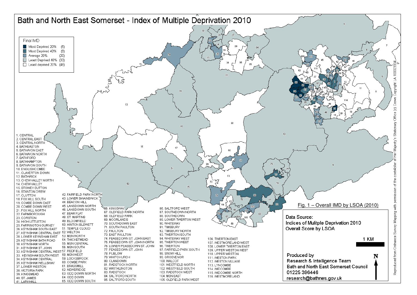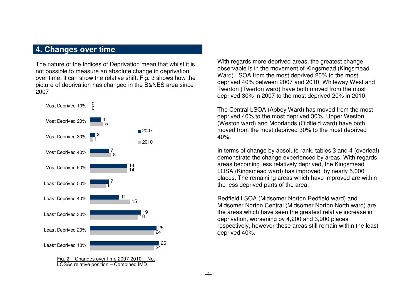## **4. Changes over time**

The nature of the Indices of Deprivation mean that whilst it is not possible to measure an absolute change in deprivation over time, it can show the relative shift. Fig. 3 shows how the picture of deprivation has changed in the B&NES area since 2007



With regards more deprived areas, the greatest change observable is in the movement of Kingsmead (Kingsmead Ward) LSOA from the most deprived 20% to the most deprived 40% between 2007 and 2010. Whiteway West and Twerton (Twerton ward) have both moved from the most deprived 30% in 2007 to the most deprived 20% in 2010.

The Central LSOA (Abbey Ward) has moved from the most deprived 40% to the most deprived 30%. Upper Weston (Weston ward) and Moorlands (Oldfield ward) have both moved from the most deprived 30% to the most deprived 40%.

In terms of change by absolute rank, tables 3 and 4 (overleaf) demonstrate the change experienced by areas. With regards areas becoming less relatively deprived, the Kingsmead LOSA (Kingsmead ward) has improved by nearly 5,000 places. The remaining areas which have improved are within the less deprived parts of the area.

Redfield LSOA (Midsomer Norton Redfield ward) and Midsomer Norton Central (Midsomer Norton North ward) are the areas which have seen the greatest relative increase in deprivation, worsening by 4,200 and 3,900 places respectively, however these areas still remain within the least deprived 40%.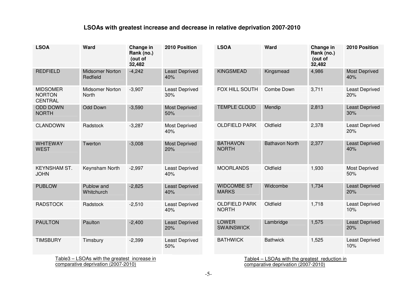## **LSOAs with greatest increase and decrease in relative deprivation 2007-2010**

| <b>LSOA</b>                                        | Ward                               | Change in<br>Rank (no.)<br>(out of<br>32,482 | 2010 Position                | <b>LSOA</b>                          | Ward                  | Change in<br>Rank (no.)<br>(out of<br>32,482 | 2010 Position                |
|----------------------------------------------------|------------------------------------|----------------------------------------------|------------------------------|--------------------------------------|-----------------------|----------------------------------------------|------------------------------|
| <b>REDFIELD</b>                                    | <b>Midsomer Norton</b><br>Redfield | $-4,242$                                     | <b>Least Deprived</b><br>40% | <b>KINGSMEAD</b>                     | Kingsmead             | 4,986                                        | <b>Most Deprived</b><br>40%  |
| <b>MIDSOMER</b><br><b>NORTON</b><br><b>CENTRAL</b> | <b>Midsomer Norton</b><br>North    | $-3,907$                                     | <b>Least Deprived</b><br>30% | FOX HILL SOUTH                       | Combe Down            | 3,711                                        | Least Deprived<br>20%        |
| <b>ODD DOWN</b><br><b>NORTH</b>                    | <b>Odd Down</b>                    | $-3,590$                                     | <b>Most Deprived</b><br>50%  | <b>TEMPLE CLOUD</b>                  | Mendip                | 2,813                                        | <b>Least Deprived</b><br>30% |
| <b>CLANDOWN</b>                                    | Radstock                           | $-3,287$                                     | <b>Most Deprived</b><br>40%  | <b>OLDFIELD PARK</b>                 | Oldfield              | 2,378                                        | <b>Least Deprived</b><br>20% |
| <b>WHITEWAY</b><br><b>WEST</b>                     | Twerton                            | $-3,008$                                     | <b>Most Deprived</b><br>20%  | <b>BATHAVON</b><br><b>NORTH</b>      | <b>Bathavon North</b> | 2,377                                        | <b>Least Deprived</b><br>40% |
| <b>KEYNSHAM ST.</b><br><b>JOHN</b>                 | Keynsham North                     | $-2,997$                                     | <b>Least Deprived</b><br>40% | <b>MOORLANDS</b>                     | Oldfield              | 1,930                                        | <b>Most Deprived</b><br>50%  |
| <b>PUBLOW</b>                                      | Publow and<br>Whitchurch           | $-2,825$                                     | <b>Least Deprived</b><br>40% | <b>WIDCOMBE ST</b><br><b>MARKS</b>   | Widcombe              | 1,734                                        | <b>Least Deprived</b><br>20% |
| <b>RADSTOCK</b>                                    | Radstock                           | $-2,510$                                     | <b>Least Deprived</b><br>40% | <b>OLDFIELD PARK</b><br><b>NORTH</b> | Oldfield              | 1,718                                        | <b>Least Deprived</b><br>10% |
| <b>PAULTON</b>                                     | Paulton                            | $-2,400$                                     | <b>Least Deprived</b><br>20% | <b>LOWER</b><br><b>SWAINSWICK</b>    | Lambridge             | 1,575                                        | <b>Least Deprived</b><br>20% |
| <b>TIMSBURY</b>                                    | Timsbury                           | $-2,399$                                     | <b>Least Deprived</b><br>50% | <b>BATHWICK</b>                      | <b>Bathwick</b>       | 1,525                                        | Least Deprived<br>10%        |

Table3 – LSOAs with the greatest increase in comparative deprivation (2007-2010)

Table4 – LSOAs with the greatest reduction in comparative deprivation (2007-2010)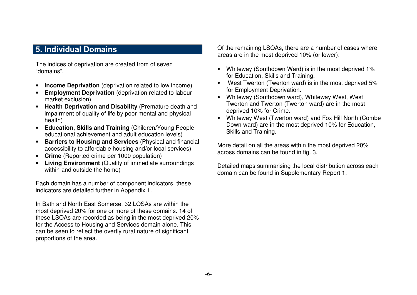## **5. Individual Domains**

The indices of deprivation are created from of seven "domains".

- •**Income Deprivation** (deprivation related to low income)
- $\bullet$  **Employment Deprivation** (deprivation related to labour market exclusion)
- **Health Deprivation and Disability** (Premature death and impairment of quality of life by poor mental and physical health)
- **Education, Skills and Training** (Children/Young People educational achievement and adult education levels)
- **Barriers to Housing and Services** (Physical and financial accessibility to affordable housing and/or local services)
- **Crime** (Reported crime per 1000 population)
- **Living Environment** (Quality of immediate surroundings within and outside the home)

Each domain has a number of component indicators, these indicators are detailed further in Appendix 1.

In Bath and North East Somerset 32 LOSAs are within the most deprived 20% for one or more of these domains. 14 of these LSOAs are recorded as being in the most deprived 20% for the Access to Housing and Services domain alone. This can be seen to reflect the overtly rural nature of significant proportions of the area.

Of the remaining LSOAs, there are a number of cases where areas are in the most deprived 10% (or lower):

- Whiteway (Southdown Ward) is in the most deprived 1% for Education, Skills and Training.
- West Twerton (Twerton ward) is in the most deprived 5% for Employment Deprivation.
- Whiteway (Southdown ward), Whiteway West, West Twerton and Twerton (Twerton ward) are in the most deprived 10% for Crime.
- Whiteway West (Twerton ward) and Fox Hill North (Combe Down ward) are in the most deprived 10% for Education, Skills and Training.

More detail on all the areas within the most deprived 20% across domains can be found in fig. 3.

Detailed maps summarising the local distribution across each domain can be found in Supplementary Report 1.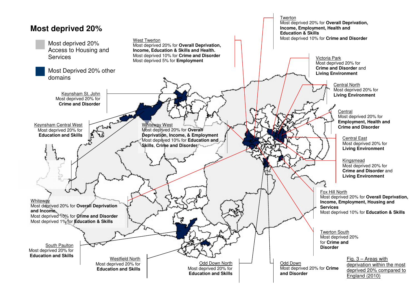